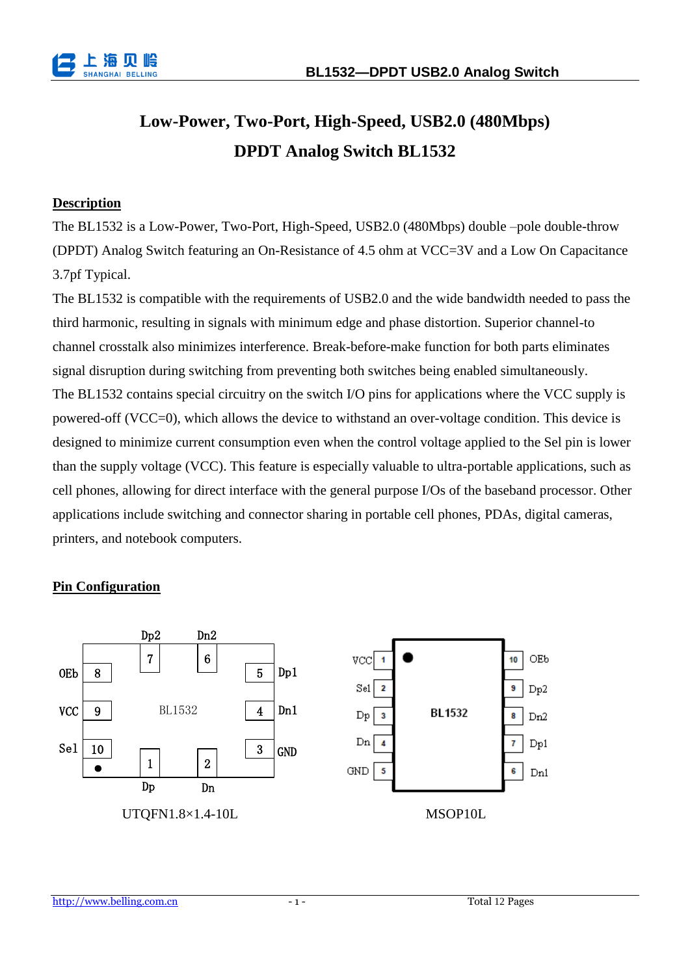

# **Low-Power, Two-Port, High-Speed, USB2.0 (480Mbps) DPDT Analog Switch BL1532**

#### **Description**

The BL1532 is a Low-Power, Two-Port, High-Speed, USB2.0 (480Mbps) double –pole double-throw (DPDT) Analog Switch featuring an On-Resistance of 4.5 ohm at VCC=3V and a Low On Capacitance 3.7pf Typical.

The BL1532 is compatible with the requirements of USB2.0 and the wide bandwidth needed to pass the third harmonic, resulting in signals with minimum edge and phase distortion. Superior channel-to channel crosstalk also minimizes interference. Break-before-make function for both parts eliminates signal disruption during switching from preventing both switches being enabled simultaneously. The BL1532 contains special circuitry on the switch I/O pins for applications where the VCC supply is powered-off (VCC=0), which allows the device to withstand an over-voltage condition. This device is designed to minimize current consumption even when the control voltage applied to the Sel pin is lower than the supply voltage (VCC). This feature is especially valuable to ultra-portable applications, such as cell phones, allowing for direct interface with the general purpose I/Os of the baseband processor. Other applications include switching and connector sharing in portable cell phones, PDAs, digital cameras, printers, and notebook computers.

### **Pin Configuration**

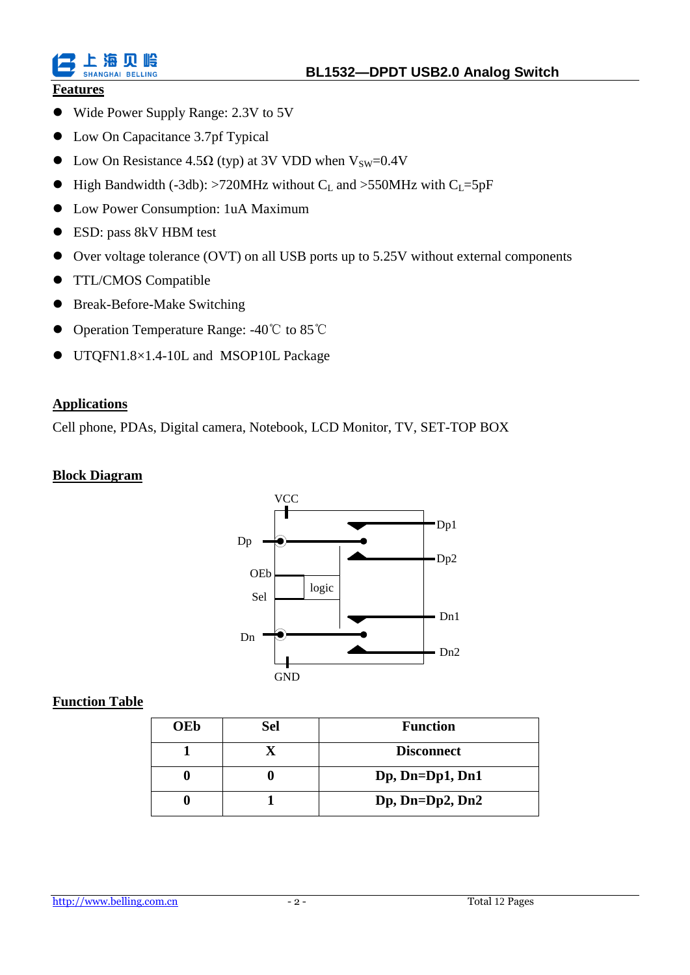

## **Features**

ト 塩 SHANGHAL BELLING

- Wide Power Supply Range: 2.3V to 5V
- Low On Capacitance 3.7pf Typical
- Low On Resistance 4.5 $\Omega$  (typ) at 3V VDD when V<sub>SW</sub>=0.4V
- High Bandwidth (-3db): >720MHz without  $C_L$  and >550MHz with  $C_L$ =5pF
- Low Power Consumption: 1uA Maximum
- ESD: pass 8kV HBM test
- Over voltage tolerance (OVT) on all USB ports up to 5.25V without external components
- **TTL/CMOS Compatible**
- Break-Before-Make Switching
- Operation Temperature Range: -40℃ to 85℃
- UTQFN1.8×1.4-10L and MSOP10L Package

#### **Applications**

Cell phone, PDAs, Digital camera, Notebook, LCD Monitor, TV, SET-TOP BOX

#### **Block Diagram**



### **Function Table**

| <b>OEb</b> | <b>Sel</b> | <b>Function</b>           |  |  |  |
|------------|------------|---------------------------|--|--|--|
|            |            | <b>Disconnect</b>         |  |  |  |
|            |            | $Dp$ , $Dn = Dp1$ , $Dn1$ |  |  |  |
|            |            | $Dp$ , $Dn = Dp2$ , $Dn2$ |  |  |  |

#### http://www.belling.com.cn - 2 - Total 12 Pages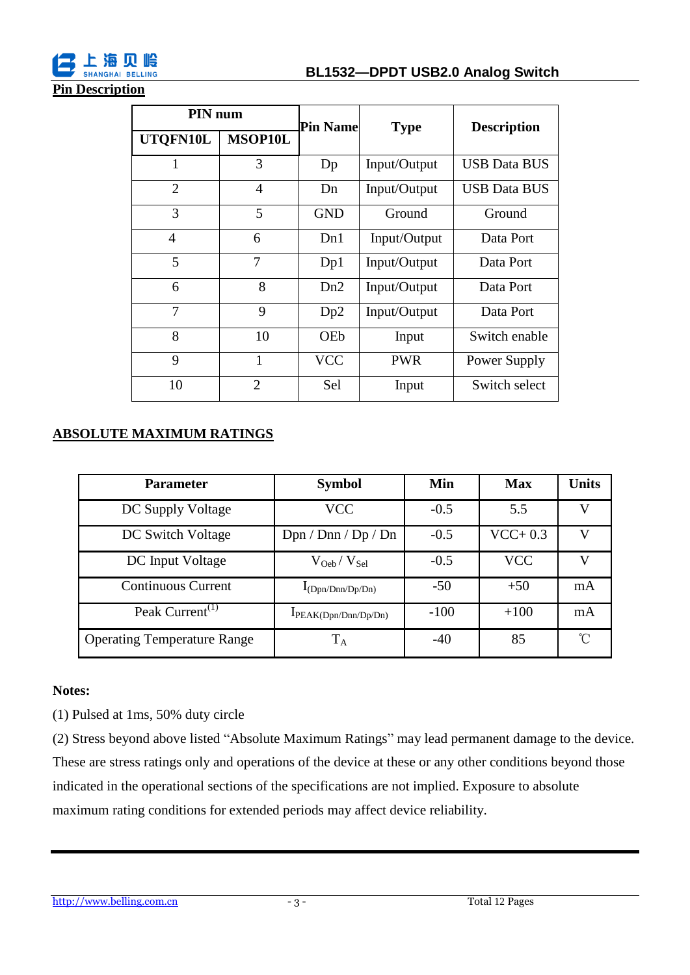

#### **Pin Description**

| PIN <sub>num</sub> |                | <b>Pin Name</b> | <b>Type</b>  | <b>Description</b>  |  |
|--------------------|----------------|-----------------|--------------|---------------------|--|
| UTQFN10L           | <b>MSOP10L</b> |                 |              |                     |  |
| 1                  | 3              | Dp              | Input/Output | <b>USB Data BUS</b> |  |
| $\overline{2}$     | $\overline{4}$ | Dn              | Input/Output | <b>USB Data BUS</b> |  |
| 3                  | 5              | <b>GND</b>      | Ground       | Ground              |  |
| 4                  | 6              | Dn1             | Input/Output | Data Port           |  |
| 5                  | 7              | Dp1             | Input/Output | Data Port           |  |
| 6                  | 8              | Dn2             | Input/Output | Data Port           |  |
| 7                  | 9              | Dp2             | Input/Output | Data Port           |  |
| 8                  | 10             | OEb             | Input        | Switch enable       |  |
| 9                  | 1              | <b>VCC</b>      | <b>PWR</b>   | Power Supply        |  |
| 10                 | $\overline{2}$ | Sel             | Input        | Switch select       |  |

## **ABSOLUTE MAXIMUM RATINGS**

| <b>Parameter</b>                         | <b>Symbol</b>              | Min    | <b>Max</b> | <b>Units</b> |
|------------------------------------------|----------------------------|--------|------------|--------------|
| DC Supply Voltage                        | <b>VCC</b>                 | $-0.5$ | 5.5        | V            |
| DC Switch Voltage                        | Dpn / Dnn / Dp / Dn        | $-0.5$ | $VCC+0.3$  |              |
| DC Input Voltage                         | $\rm V_{Oeb}/\rm\,V_{Sel}$ | $-0.5$ | <b>VCC</b> | V            |
| <b>Continuous Current</b>                | $I_{(Dpn/Dnn/Dp/Dn)}$      | $-50$  | $+50$      | mA           |
| Peak Current <sup><math>(1)</math></sup> | IPEAK(Dpn/Dnn/Dp/Dn)       | $-100$ | $+100$     | mA           |
| <b>Operating Temperature Range</b>       | $\rm T_A$                  | $-40$  | 85         | °C           |

#### **Notes:**

(1) Pulsed at 1ms, 50% duty circle

(2) Stress beyond above listed "Absolute Maximum Ratings" may lead permanent damage to the device. These are stress ratings only and operations of the device at these or any other conditions beyond those indicated in the operational sections of the specifications are not implied. Exposure to absolute maximum rating conditions for extended periods may affect device reliability.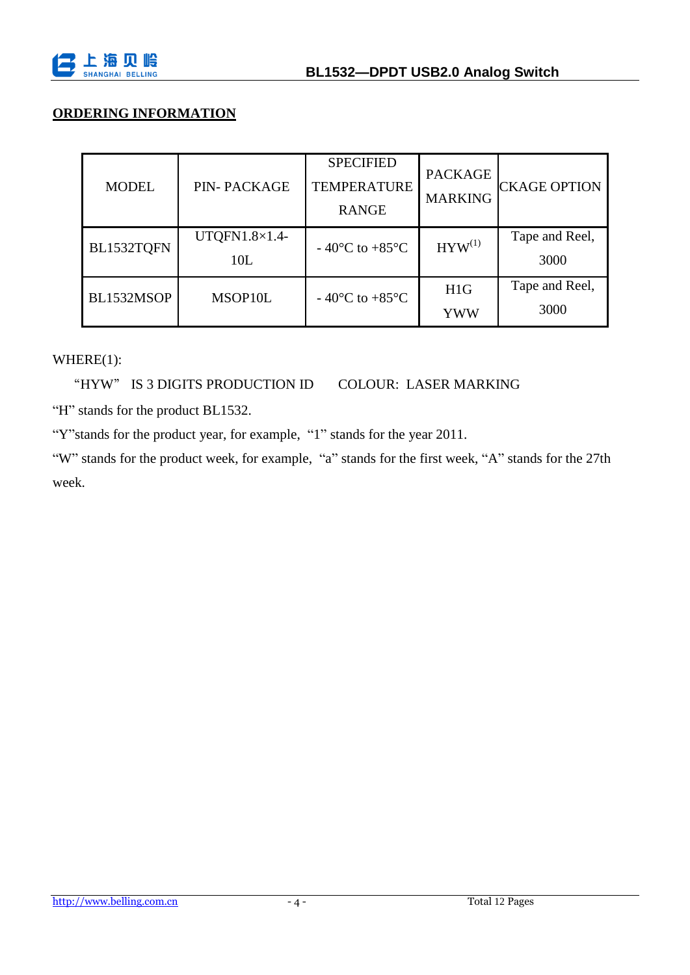

## **ORDERING INFORMATION**

| <b>MODEL</b> | <b>PIN-PACKAGE</b>            | <b>SPECIFIED</b><br><b>TEMPERATURE</b><br><b>RANGE</b> | <b>PACKAGE</b><br><b>MARKING</b> | <b>CKAGE OPTION</b>    |
|--------------|-------------------------------|--------------------------------------------------------|----------------------------------|------------------------|
| BL1532TQFN   | UTQFN1.8 $\times$ 1.4-<br>10L | $-40$ °C to +85 °C                                     | $HYW^{(1)}$                      | Tape and Reel,<br>3000 |
| BL1532MSOP   | MSOP10L                       | $-40$ °C to +85 °C                                     | H1G<br>YWW                       | Tape and Reel,<br>3000 |

WHERE(1):

"HYW" IS 3 DIGITS PRODUCTION ID COLOUR: LASER MARKING

"H" stands for the product BL1532.

"Y"stands for the product year, for example, "1" stands for the year 2011.

"W" stands for the product week, for example, "a" stands for the first week, "A" stands for the 27th week.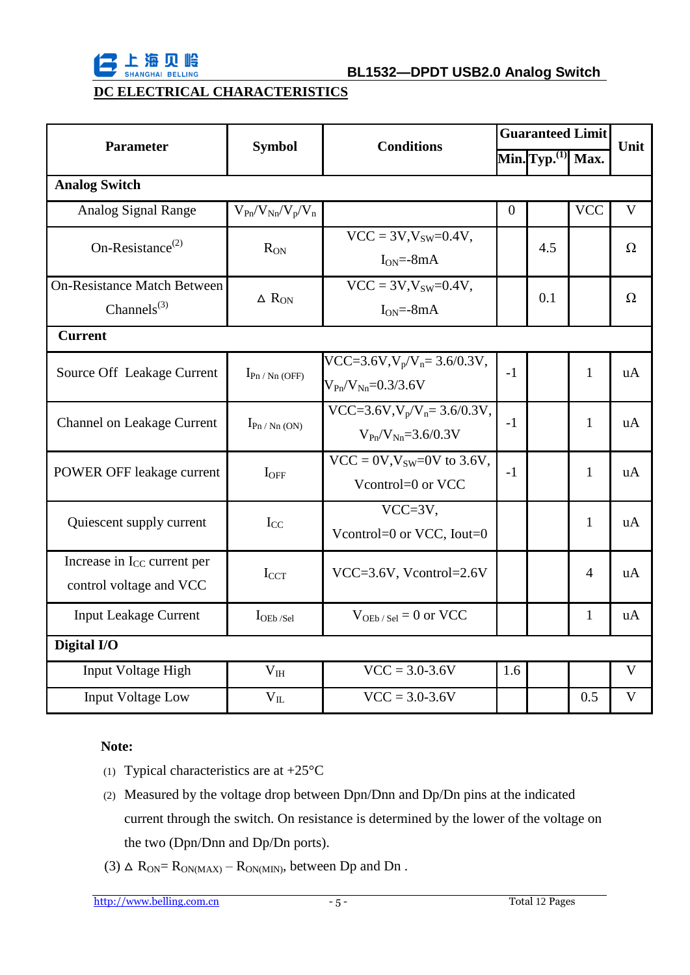

## **DC ELECTRICAL CHARACTERISTICS**

| <b>Parameter</b>                                                   | <b>Symbol</b>           | <b>Conditions</b>                                                          | <b>Guaranteed Limit</b> |                       |              | Unit         |  |
|--------------------------------------------------------------------|-------------------------|----------------------------------------------------------------------------|-------------------------|-----------------------|--------------|--------------|--|
|                                                                    |                         |                                                                            |                         | Min. $Typ^{(1)}$ Max. |              |              |  |
| <b>Analog Switch</b>                                               |                         |                                                                            |                         |                       |              |              |  |
| Analog Signal Range                                                | $V_{Pn}/V_{Nn}/V_p/V_n$ |                                                                            | $\theta$                |                       | <b>VCC</b>   | $\mathbf{V}$ |  |
| On-Resistance <sup><math>(2)</math></sup>                          | $R_{ON}$                | $VCC = 3V, V_{SW} = 0.4V,$<br>$I_{ON} = -8mA$                              |                         | 4.5                   |              | $\Omega$     |  |
| <b>On-Resistance Match Between</b><br>Channels $^{(3)}$            | $\Delta$ $R_{ON}$       | $VCC = 3V, V_{SW} = 0.4V,$<br>$I_{ON} = -8mA$                              |                         | 0.1                   |              | $\Omega$     |  |
| <b>Current</b>                                                     |                         |                                                                            |                         |                       |              |              |  |
| Source Off Leakage Current                                         | $I_{Pn / Nn (OFF)}$     | $VCC=3.6V, V_p/V_n=3.6/0.3V,$<br>$V_{\text{Pn}}/V_{\text{Nn}} = 0.3/3.6 V$ | $-1$                    |                       | $\mathbf{1}$ | uA           |  |
| <b>Channel on Leakage Current</b>                                  | $I_{Pn / Nn (ON)}$      | $VCC=3.6V, V_p/V_n=3.6/0.3V,$<br>$V_{\text{Pn}}/V_{\text{Nn}} = 3.6/0.3 V$ | $-1$                    |                       | 1            | uA           |  |
| POWER OFF leakage current                                          | $I_{OFF}$               | $VCC = 0V$ , $V_{SW} = 0V$ to 3.6V,<br>Vcontrol=0 or VCC                   | $-1$                    |                       | 1            | uA           |  |
| Quiescent supply current                                           | $I_{CC}$                | $VCC=3V,$<br>Vcontrol=0 or VCC, Iout=0                                     |                         |                       | 1            | uA           |  |
| Increase in I <sub>CC</sub> current per<br>control voltage and VCC | $I_{CCT}$               | VCC=3.6V, Vcontrol=2.6V                                                    |                         |                       | 4            | uA           |  |
| <b>Input Leakage Current</b>                                       | $I$ OEb /Sel            | $V_{OEb/Sel} = 0$ or VCC                                                   |                         |                       | 1            | uA           |  |
| Digital I/O                                                        |                         |                                                                            |                         |                       |              |              |  |
| Input Voltage High                                                 | V <sub>IH</sub>         | $VCC = 3.0 - 3.6V$                                                         | 1.6                     |                       |              | $\mathbf V$  |  |
| <b>Input Voltage Low</b>                                           | $\rm V_{II}$            | $VCC = 3.0 - 3.6V$                                                         |                         |                       | 0.5          | V            |  |

#### **Note:**

- (1) Typical characteristics are at  $+25 \text{ }^{\circ}\text{C}$
- (2) Measured by the voltage drop between Dpn/Dnn and Dp/Dn pins at the indicated current through the switch. On resistance is determined by the lower of the voltage on the two (Dpn/Dnn and Dp/Dn ports).
- (3)  $\Delta$  R<sub>ON</sub>= R<sub>ON(MAX)</sub> R<sub>ON(MIN)</sub>, between Dp and Dn.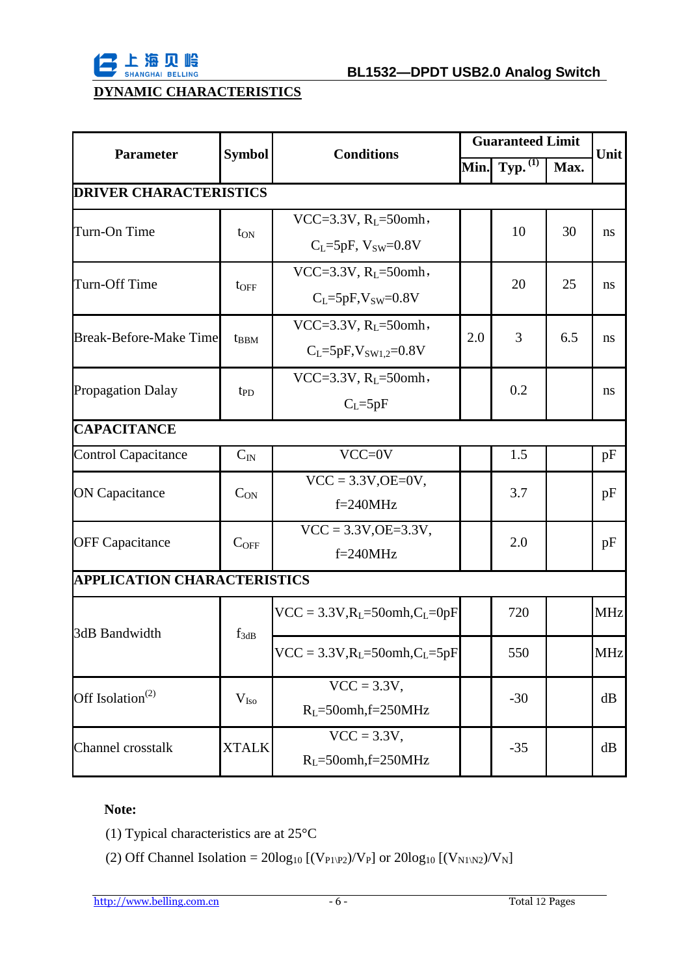

## **DYNAMIC CHARACTERISTICS**

| <b>Parameter</b>                          | <b>Symbol</b> | <b>Conditions</b>                    | <b>Guaranteed Limit</b> |                       |      | Unit          |  |  |
|-------------------------------------------|---------------|--------------------------------------|-------------------------|-----------------------|------|---------------|--|--|
|                                           |               |                                      | Min.                    | $Typ.$ <sup>(1)</sup> | Max. |               |  |  |
| <b>DRIVER CHARACTERISTICS</b>             |               |                                      |                         |                       |      |               |  |  |
| Turn-On Time                              | $t_{ON}$      | VCC=3.3V, $R_L$ =50omh,              |                         | 10                    | 30   | <sub>ns</sub> |  |  |
|                                           |               | $C_L = 5pF$ , $V_{SW} = 0.8V$        |                         |                       |      |               |  |  |
| Turn-Off Time                             |               | VCC=3.3V, $R_1$ =50omh,              |                         | 20                    | 25   | ns            |  |  |
|                                           | $t_{\rm OFF}$ | $C_L = 5pF$ , $V_{SW} = 0.8V$        |                         |                       |      |               |  |  |
| <b>Break-Before-Make Time</b>             |               | VCC=3.3V, $R_{I}$ =50omh,            | 2.0                     | 3                     | 6.5  | ns            |  |  |
|                                           | $t_{BBM}$     | $C_{L} = 5pF, V_{SW1.2} = 0.8V$      |                         |                       |      |               |  |  |
| <b>Propagation Dalay</b>                  | $t_{\rm PD}$  | VCC=3.3V, $R_L$ =50omh,              |                         | 0.2                   |      | ns            |  |  |
|                                           |               | $C_{L} = 5pF$                        |                         |                       |      |               |  |  |
| <b>CAPACITANCE</b>                        |               |                                      |                         |                       |      |               |  |  |
| <b>Control Capacitance</b>                | $C_{IN}$      | $VCC=0V$                             |                         | 1.5                   |      | pF            |  |  |
| <b>ON Capacitance</b>                     | $C_{\rm ON}$  | $VCC = 3.3V,OE=0V,$                  |                         | 3.7                   |      | pF            |  |  |
|                                           |               | $f=240MHz$                           |                         |                       |      |               |  |  |
| <b>OFF Capacitance</b>                    | $C_{OFF}$     | $VCC = 3.3V,OE = 3.3V,$              |                         | 2.0                   |      | pF            |  |  |
|                                           |               | $f = 240MHz$                         |                         |                       |      |               |  |  |
| <b>APPLICATION CHARACTERISTICS</b>        |               |                                      |                         |                       |      |               |  |  |
| 3dB Bandwidth                             | $f_{3dB}$     | $VCC = 3.3V, R_L = 500mh, C_L = 0pF$ |                         | 720                   |      | <b>MHz</b>    |  |  |
|                                           |               | $VCC = 3.3V, R_L = 500mh, C_L = 5pF$ |                         | 550                   |      | <b>MHz</b>    |  |  |
| Off Isolation <sup><math>(2)</math></sup> | $V_{\rm Iso}$ | $VCC = 3.3V$ ,                       |                         | $-30$                 |      | dB            |  |  |
|                                           |               | $R_L = 50$ omh, f=250MHz             |                         |                       |      |               |  |  |
| Channel crosstalk                         | <b>XTALK</b>  | $VCC = 3.3V$ ,                       |                         | $-35$                 |      | dB            |  |  |
|                                           |               | $RL=50omh,f=250MHz$                  |                         |                       |      |               |  |  |

## **Note:**

- (1) Typical characteristics are at 25°C
- (2) Off Channel Isolation =  $20\log_{10} [(V_{P1\backslash P2})/V_P]$  or  $20\log_{10} [(V_{N1\backslash N2})/V_N]$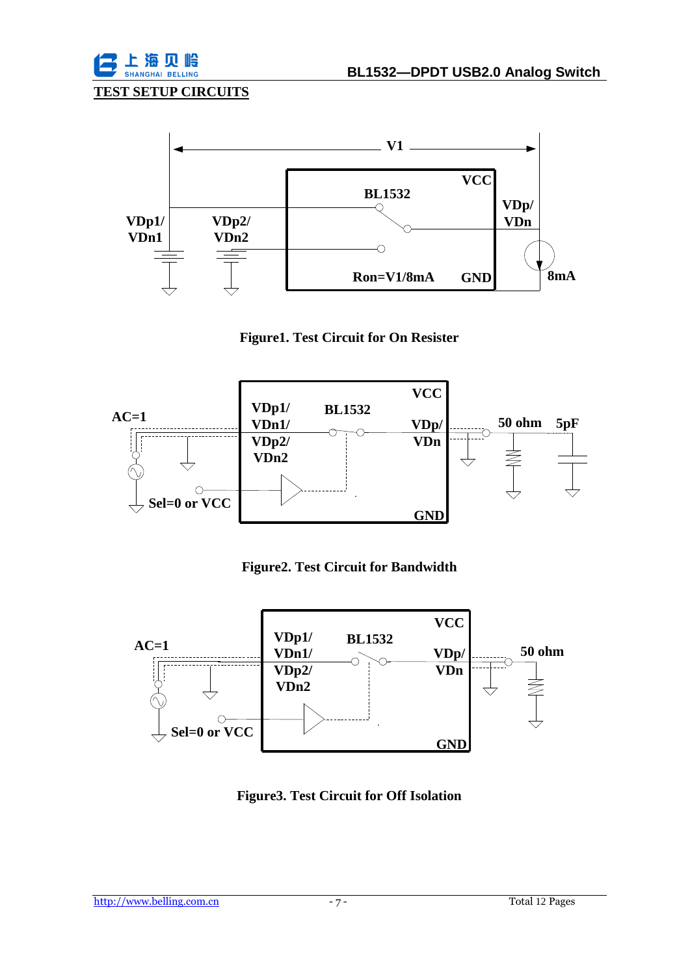### **TEST SETUP CIRCUITS**



#### **Figure1. Test Circuit for On Resister**



#### **Figure2. Test Circuit for Bandwidth**



**Figure3. Test Circuit for Off Isolation**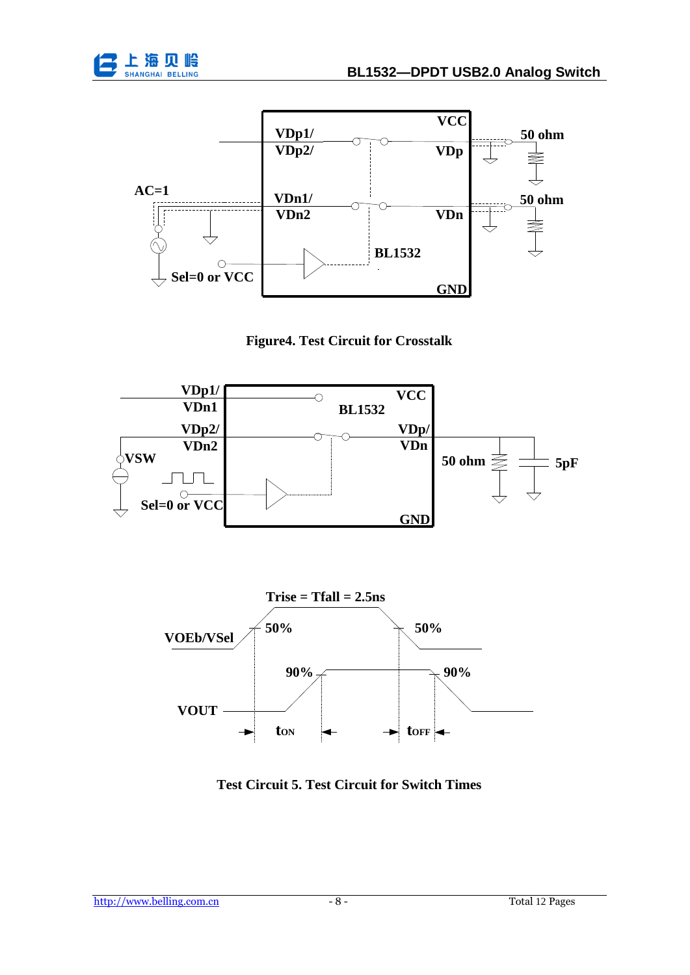







**Test Circuit 5. Test Circuit for Switch Times**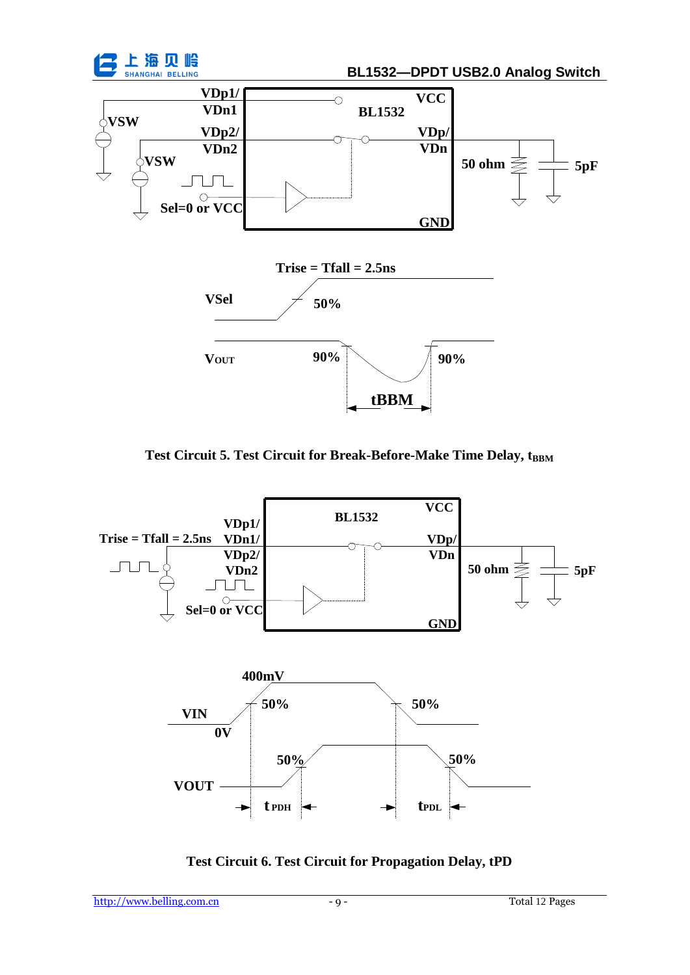

Test Circuit 5. Test Circuit for Break-Before-Make Time Delay,  $t_{\rm BBM}$ 



**Test Circuit 6. Test Circuit for Propagation Delay, tPD**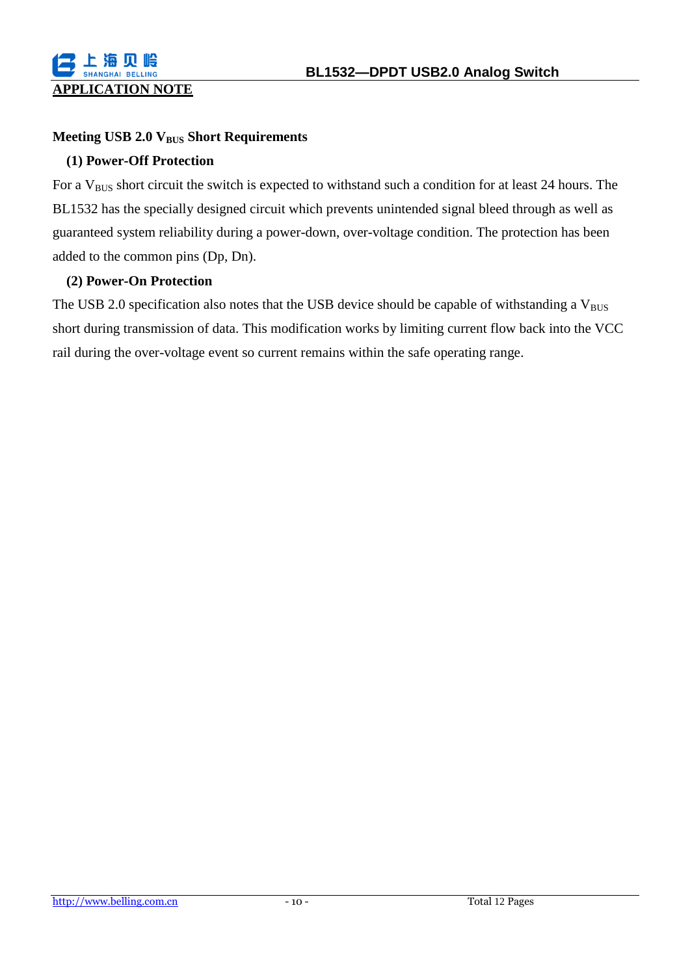#### **Meeting USB 2.0 VBUS Short Requirements**

#### **(1) Power-Off Protection**

For a  $V_{\text{BUS}}$  short circuit the switch is expected to withstand such a condition for at least 24 hours. The BL1532 has the specially designed circuit which prevents unintended signal bleed through as well as guaranteed system reliability during a power-down, over-voltage condition. The protection has been added to the common pins (Dp, Dn).

#### **(2) Power-On Protection**

The USB 2.0 specification also notes that the USB device should be capable of withstanding a  $V_{BUS}$ short during transmission of data. This modification works by limiting current flow back into the VCC rail during the over-voltage event so current remains within the safe operating range.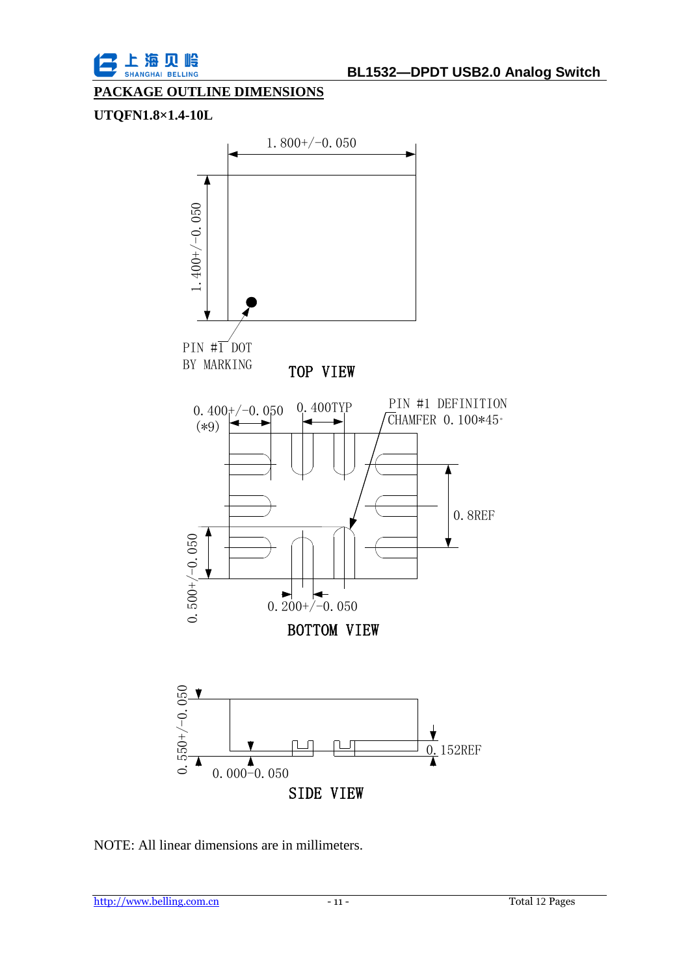

#### **PACKAGE OUTLINE DIMENSIONS**

#### **UTQFN1.8×1.4-10L**



NOTE: All linear dimensions are in millimeters.